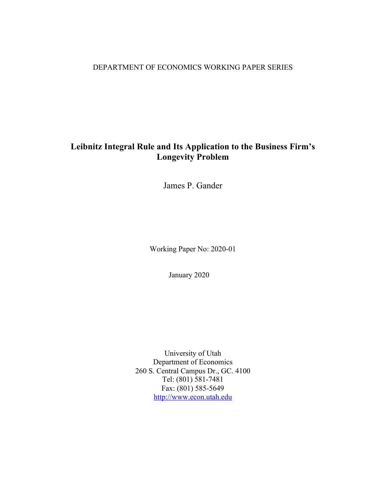## DEPARTMENT OF ECONOMICS WORKING PAPER SERIES

# **Leibnitz Integral Rule and Its Application to the Business Firm's Longevity Problem**

James P. Gander

Working Paper No: 2020-01

January 2020

University of Utah Department of Economics 260 S. Central Campus Dr., GC. 4100 Tel: (801) 581-7481 Fax: (801) 585-5649 http://www.econ.utah.edu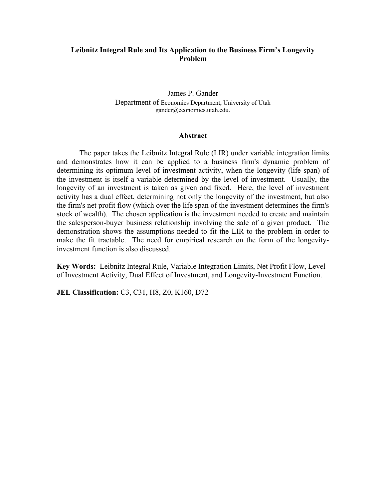## **Leibnitz Integral Rule and Its Application to the Business Firm's Longevity Problem**

James P. Gander Department of Economics Department, University of Utah gander@economics.utah.edu.

#### **Abstract**

The paper takes the Leibnitz Integral Rule (LIR) under variable integration limits and demonstrates how it can be applied to a business firm's dynamic problem of determining its optimum level of investment activity, when the longevity (life span) of the investment is itself a variable determined by the level of investment. Usually, the longevity of an investment is taken as given and fixed. Here, the level of investment activity has a dual effect, determining not only the longevity of the investment, but also the firm's net profit flow (which over the life span of the investment determines the firm's stock of wealth). The chosen application is the investment needed to create and maintain the salesperson-buyer business relationship involving the sale of a given product. The demonstration shows the assumptions needed to fit the LIR to the problem in order to make the fit tractable. The need for empirical research on the form of the longevityinvestment function is also discussed.

**Key Words:** Leibnitz Integral Rule, Variable Integration Limits, Net Profit Flow, Level of Investment Activity, Dual Effect of Investment, and Longevity-Investment Function.

**JEL Classification:** C3, C31, H8, Z0, K160, D72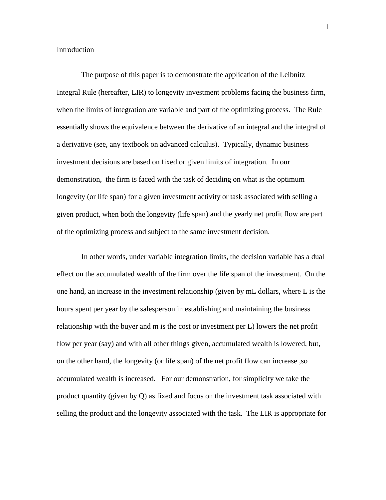Introduction

 The purpose of this paper is to demonstrate the application of the Leibnitz Integral Rule (hereafter, LIR) to longevity investment problems facing the business firm, when the limits of integration are variable and part of the optimizing process. The Rule essentially shows the equivalence between the derivative of an integral and the integral of a derivative (see, any textbook on advanced calculus). Typically, dynamic business investment decisions are based on fixed or given limits of integration. In our demonstration, the firm is faced with the task of deciding on what is the optimum longevity (or life span) for a given investment activity or task associated with selling a given product, when both the longevity (life span) and the yearly net profit flow are part of the optimizing process and subject to the same investment decision.

In other words, under variable integration limits, the decision variable has a dual effect on the accumulated wealth of the firm over the life span of the investment. On the one hand, an increase in the investment relationship (given by mL dollars, where L is the hours spent per year by the salesperson in establishing and maintaining the business relationship with the buyer and m is the cost or investment per L) lowers the net profit flow per year (say) and with all other things given, accumulated wealth is lowered, but, on the other hand, the longevity (or life span) of the net profit flow can increase ,so accumulated wealth is increased. For our demonstration, for simplicity we take the product quantity (given by Q) as fixed and focus on the investment task associated with selling the product and the longevity associated with the task. The LIR is appropriate for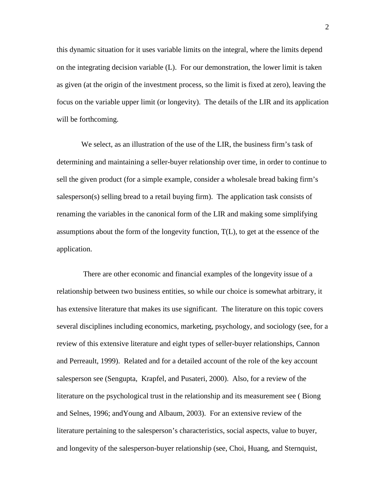this dynamic situation for it uses variable limits on the integral, where the limits depend on the integrating decision variable (L). For our demonstration, the lower limit is taken as given (at the origin of the investment process, so the limit is fixed at zero), leaving the focus on the variable upper limit (or longevity). The details of the LIR and its application will be forthcoming.

We select, as an illustration of the use of the LIR, the business firm's task of determining and maintaining a seller-buyer relationship over time, in order to continue to sell the given product (for a simple example, consider a wholesale bread baking firm's salesperson(s) selling bread to a retail buying firm). The application task consists of renaming the variables in the canonical form of the LIR and making some simplifying assumptions about the form of the longevity function, T(L), to get at the essence of the application.

 There are other economic and financial examples of the longevity issue of a relationship between two business entities, so while our choice is somewhat arbitrary, it has extensive literature that makes its use significant. The literature on this topic covers several disciplines including economics, marketing, psychology, and sociology (see, for a review of this extensive literature and eight types of seller-buyer relationships, Cannon and Perreault, 1999). Related and for a detailed account of the role of the key account salesperson see (Sengupta, Krapfel, and Pusateri, 2000). Also, for a review of the literature on the psychological trust in the relationship and its measurement see ( Biong and Selnes, 1996; andYoung and Albaum, 2003). For an extensive review of the literature pertaining to the salesperson's characteristics, social aspects, value to buyer, and longevity of the salesperson-buyer relationship (see, Choi, Huang, and Sternquist,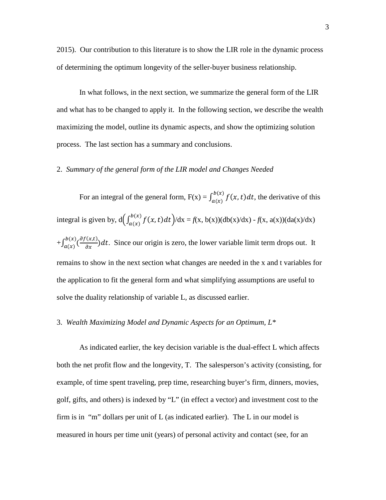2015). Our contribution to this literature is to show the LIR role in the dynamic process of determining the optimum longevity of the seller-buyer business relationship.

In what follows, in the next section, we summarize the general form of the LIR and what has to be changed to apply it. In the following section, we describe the wealth maximizing the model, outline its dynamic aspects, and show the optimizing solution process. The last section has a summary and conclusions.

#### 2. *Summary of the general form of the LIR model and Changes Needed*

For an integral of the general form,  $F(x) = \int_{a(x)}^{b(x)} f(x, t) dt$ , the derivative of this integral is given by,  $d\left(\int_{a(x)}^{b(x)} f(x, t) dt\right) / dx = f(x, b(x)) (db(x)/dx) - f(x, a(x)) (da(x)/dx)$  $+\int_{a(x)}^{b(x)}(\frac{\partial f(x,t)}{\partial x})dt$ . Since our origin is zero, the lower variable limit term drops out. It remains to show in the next section what changes are needed in the x and t variables for the application to fit the general form and what simplifying assumptions are useful to solve the duality relationship of variable L, as discussed earlier.

### 3. *Wealth Maximizing Model and Dynamic Aspects for an Optimum, L\**

As indicated earlier, the key decision variable is the dual-effect L which affects both the net profit flow and the longevity, T. The salesperson's activity (consisting, for example, of time spent traveling, prep time, researching buyer's firm, dinners, movies, golf, gifts, and others) is indexed by "L" (in effect a vector) and investment cost to the firm is in "m" dollars per unit of L (as indicated earlier). The L in our model is measured in hours per time unit (years) of personal activity and contact (see, for an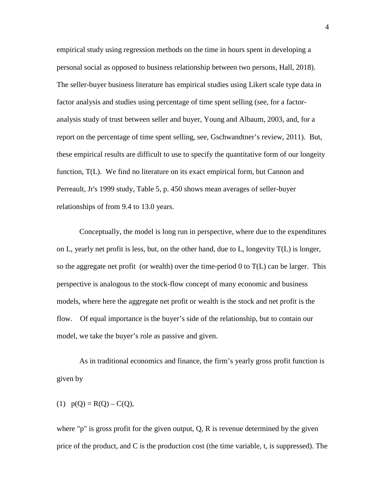empirical study using regression methods on the time in hours spent in developing a personal social as opposed to business relationship between two persons, Hall, 2018). The seller-buyer business literature has empirical studies using Likert scale type data in factor analysis and studies using percentage of time spent selling (see, for a factoranalysis study of trust between seller and buyer, Young and Albaum, 2003, and, for a report on the percentage of time spent selling, see, Gschwandtner's review, 2011). But, these empirical results are difficult to use to specify the quantitative form of our longeity function, T(L). We find no literature on its exact empirical form, but Cannon and Perreault, Jr's 1999 study, Table 5, p. 450 shows mean averages of seller-buyer relationships of from 9.4 to 13.0 years.

Conceptually, the model is long run in perspective, where due to the expenditures on L, yearly net profit is less, but, on the other hand, due to L, longevity  $T(L)$  is longer, so the aggregate net profit (or wealth) over the time-period  $0$  to  $T(L)$  can be larger. This perspective is analogous to the stock-flow concept of many economic and business models, where here the aggregate net profit or wealth is the stock and net profit is the flow. Of equal importance is the buyer's side of the relationship, but to contain our model, we take the buyer's role as passive and given.

As in traditional economics and finance, the firm's yearly gross profit function is given by

(1) 
$$
p(Q) = R(Q) - C(Q)
$$
,

where "p" is gross profit for the given output, Q, R is revenue determined by the given price of the product, and C is the production cost (the time variable, t, is suppressed). The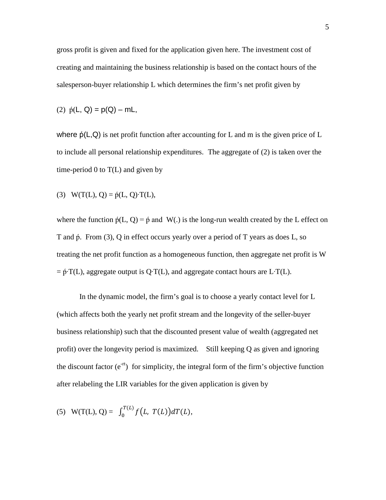gross profit is given and fixed for the application given here. The investment cost of creating and maintaining the business relationship is based on the contact hours of the salesperson-buyer relationship L which determines the firm's net profit given by

(2) 
$$
\dot{p}(L, Q) = p(Q) - mL
$$

where  $\phi(L,Q)$  is net profit function after accounting for L and m is the given price of L to include all personal relationship expenditures. The aggregate of (2) is taken over the time-period  $0$  to  $T(L)$  and given by

(3) 
$$
W(T(L), Q) = \dot{p}(L, Q) \cdot T(L)
$$
,

where the function  $\dot{p}(L, Q) = \dot{p}$  and W(.) is the long-run wealth created by the L effect on T and  $\phi$ . From (3), Q in effect occurs yearly over a period of T years as does L, so treating the net profit function as a homogeneous function, then aggregate net profit is W  $= \dot{p}$ ∙T(L), aggregate output is Q⋅T(L), and aggregate contact hours are L⋅T(L).

In the dynamic model, the firm's goal is to choose a yearly contact level for L (which affects both the yearly net profit stream and the longevity of the seller-buyer business relationship) such that the discounted present value of wealth (aggregated net profit) over the longevity period is maximized. Still keeping Q as given and ignoring the discount factor  $(e^{-rt})$  for simplicity, the integral form of the firm's objective function after relabeling the LIR variables for the given application is given by

(5) 
$$
W(T(L), Q) = \int_0^{T(L)} f(L, T(L)) dT(L)
$$
,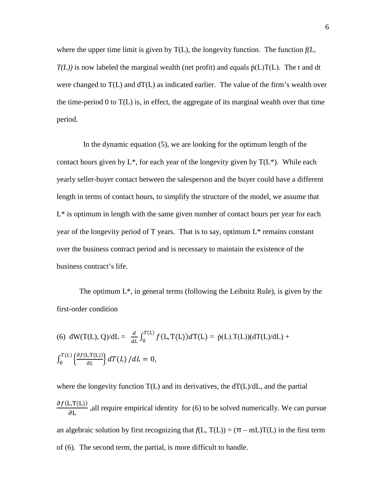where the upper time limit is given by  $T(L)$ , the longevity function. The function  $f(L)$  $T(L)$ ) is now labeled the marginal wealth (net profit) and equals  $\dot{p}(L)T(L)$ . The t and dt were changed to  $T(L)$  and  $T(L)$  as indicated earlier. The value of the firm's wealth over the time-period 0 to  $T(L)$  is, in effect, the aggregate of its marginal wealth over that time period.

 In the dynamic equation (5), we are looking for the optimum length of the contact hours given by  $L^*$ , for each year of the longevity given by  $T(L^*)$ . While each yearly seller-buyer contact between the salesperson and the buyer could have a different length in terms of contact hours, to simplify the structure of the model, we assume that L\* is optimum in length with the same given number of contact hours per year for each year of the longevity period of T years. That is to say, optimum  $L^*$  remains constant over the business contract period and is necessary to maintain the existence of the business contract's life.

The optimum  $L^*$ , in general terms (following the Leibnitz Rule), is given by the first-order condition

(6) dW(T(L), Q)/dL = 
$$
\frac{d}{dL} \int_0^{T(L)} f(L, T(L)) dT(L) = \dot{p}(L) \cdot T(L) / dL +
$$
  

$$
\int_0^{T(L)} \left\{ \frac{\partial f(L, T(L))}{\partial L} \right\} dT(L) / dL = 0,
$$

where the longevity function  $T(L)$  and its derivatives, the  $dT(L)/dL$ , and the partial  $\frac{\partial f(L,T(L))}{\partial L}$ , all require empirical identity for (6) to be solved numerically. We can pursue an algebraic solution by first recognizing that  $f(L, T(L)) = (\pi - mL)T(L)$  in the first term of (6). The second term, the partial, is more difficult to handle.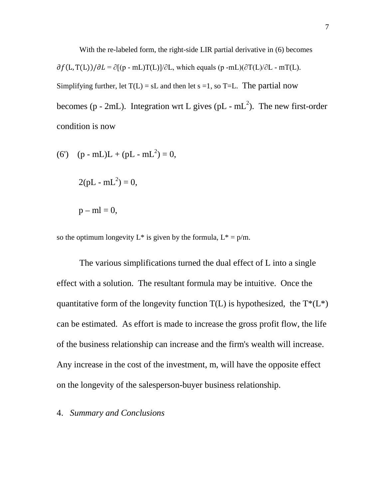With the re-labeled form, the right-side LIR partial derivative in (6) becomes  $\partial f(L, T(L))/\partial L = \partial [(p - mL)T(L)]/\partial L$ , which equals (p -mL)( $\partial T(L)/\partial L$  - mT(L). Simplifying further, let  $T(L) = sL$  and then let s =1, so T=L. The partial now becomes (p - 2mL). Integration wrt L gives (pL - mL<sup>2</sup>). The new first-order condition is now

(6') (p - mL)L + (pL - mL2 ) = 0, 2(pL - mL2 ) = 0, p – ml = 0,

so the optimum longevity  $L^*$  is given by the formula,  $L^* = p/m$ .

The various simplifications turned the dual effect of L into a single effect with a solution. The resultant formula may be intuitive. Once the quantitative form of the longevity function  $T(L)$  is hypothesized, the  $T^*(L^*)$ can be estimated. As effort is made to increase the gross profit flow, the life of the business relationship can increase and the firm's wealth will increase. Any increase in the cost of the investment, m, will have the opposite effect on the longevity of the salesperson-buyer business relationship.

## 4. *Summary and Conclusions*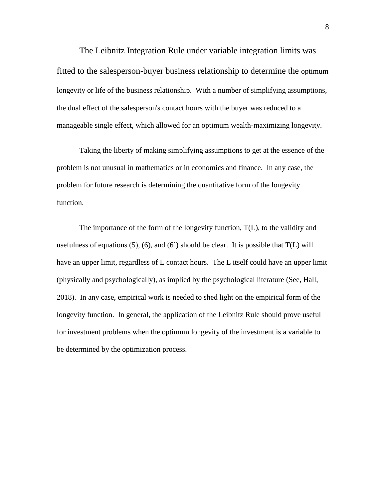The Leibnitz Integration Rule under variable integration limits was fitted to the salesperson-buyer business relationship to determine the optimum longevity or life of the business relationship. With a number of simplifying assumptions, the dual effect of the salesperson's contact hours with the buyer was reduced to a manageable single effect, which allowed for an optimum wealth-maximizing longevity.

Taking the liberty of making simplifying assumptions to get at the essence of the problem is not unusual in mathematics or in economics and finance. In any case, the problem for future research is determining the quantitative form of the longevity function.

The importance of the form of the longevity function, T(L), to the validity and usefulness of equations  $(5)$ ,  $(6)$ , and  $(6')$  should be clear. It is possible that  $T(L)$  will have an upper limit, regardless of L contact hours. The L itself could have an upper limit (physically and psychologically), as implied by the psychological literature (See, Hall, 2018). In any case, empirical work is needed to shed light on the empirical form of the longevity function. In general, the application of the Leibnitz Rule should prove useful for investment problems when the optimum longevity of the investment is a variable to be determined by the optimization process.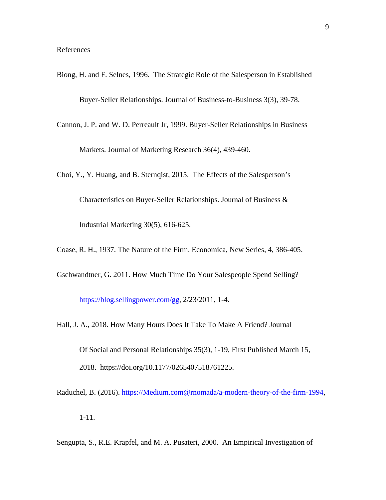- Biong, H. and F. Selnes, 1996. The Strategic Role of the Salesperson in Established Buyer-Seller Relationships. Journal of Business-to-Business 3(3), 39-78.
- Cannon, J. P. and W. D. Perreault Jr, 1999. Buyer-Seller Relationships in Business

Markets. Journal of Marketing Research 36(4), 439-460.

Choi, Y., Y. Huang, and B. Sternqist, 2015. The Effects of the Salesperson's Characteristics on Buyer-Seller Relationships. Journal of Business & Industrial Marketing 30(5), 616-625.

- Coase, R. H., 1937. The Nature of the Firm. Economica, New Series, 4, 386-405.
- Gschwandtner, G. 2011. How Much Time Do Your Salespeople Spend Selling?

[https://blog.sellingpower.com/gg,](https://blog.sellingpower.com/gg) 2/23/2011, 1-4.

Hall, J. A., 2018. How Many Hours Does It Take To Make A Friend? Journal

Of Social and Personal Relationships 35(3), 1-19, First Published March 15, 2018. https://doi.org/10.1177/0265407518761225.

- Raduchel, B. (2016). [https://Medium.com@rnomada/a-modern-theory-of-the-firm-1994,](https://Medium.com@rnomada/a-modern-theory-of-the-firm-1994) 1-11.
- Sengupta, S., R.E. Krapfel, and M. A. Pusateri, 2000. An Empirical Investigation of